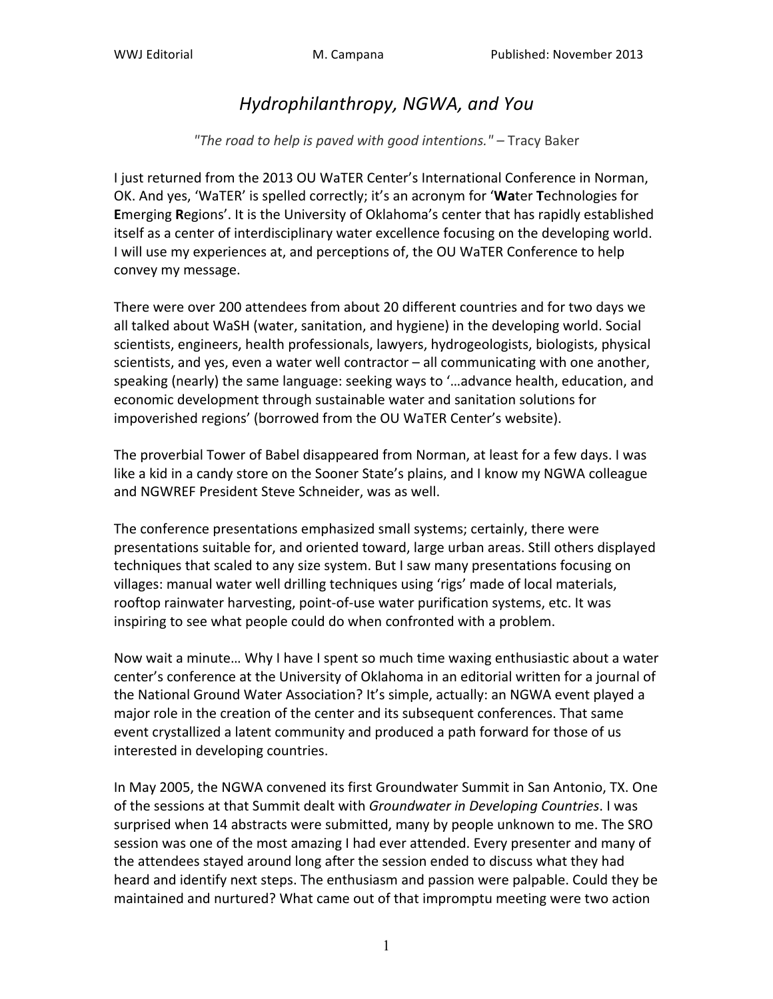## *Hydrophilanthropy,.NGWA,.and.You*

## "The road to help is paved with good intentions." – Tracy Baker

I just returned from the 2013 OU WaTER Center's International Conference in Norman, OK. And yes, 'WaTER' is spelled correctly; it's an acronym for 'Water Technologies for **Emerging Regions'. It is the University of Oklahoma's center that has rapidly established** itself as a center of interdisciplinary water excellence focusing on the developing world. I will use my experiences at, and perceptions of, the OU WaTER Conference to help convey my message.

There were over 200 attendees from about 20 different countries and for two days we all talked about WaSH (water, sanitation, and hygiene) in the developing world. Social scientists, engineers, health professionals, lawyers, hydrogeologists, biologists, physical scientists, and yes, even a water well contractor – all communicating with one another, speaking (nearly) the same language: seeking ways to '...advance health, education, and economic development through sustainable water and sanitation solutions for impoverished regions' (borrowed from the OU WaTER Center's website).

The proverbial Tower of Babel disappeared from Norman, at least for a few days. I was like a kid in a candy store on the Sooner State's plains, and I know my NGWA colleague and NGWREF President Steve Schneider, was as well.

The conference presentations emphasized small systems; certainly, there were presentations suitable for, and oriented toward, large urban areas. Still others displayed techniques that scaled to any size system. But I saw many presentations focusing on villages: manual water well drilling techniques using 'rigs' made of local materials, rooftop rainwater harvesting, point-of-use water purification systems, etc. It was inspiring to see what people could do when confronted with a problem.

Now wait a minute... Why I have I spent so much time waxing enthusiastic about a water center's conference at the University of Oklahoma in an editorial written for a journal of the National Ground Water Association? It's simple, actually: an NGWA event played a major role in the creation of the center and its subsequent conferences. That same event crystallized a latent community and produced a path forward for those of us interested in developing countries.

In May 2005, the NGWA convened its first Groundwater Summit in San Antonio, TX. One of the sessions at that Summit dealt with *Groundwater in Developing Countries*. I was surprised when 14 abstracts were submitted, many by people unknown to me. The SRO session was one of the most amazing I had ever attended. Every presenter and many of the attendees stayed around long after the session ended to discuss what they had heard and identify next steps. The enthusiasm and passion were palpable. Could they be maintained and nurtured? What came out of that impromptu meeting were two action